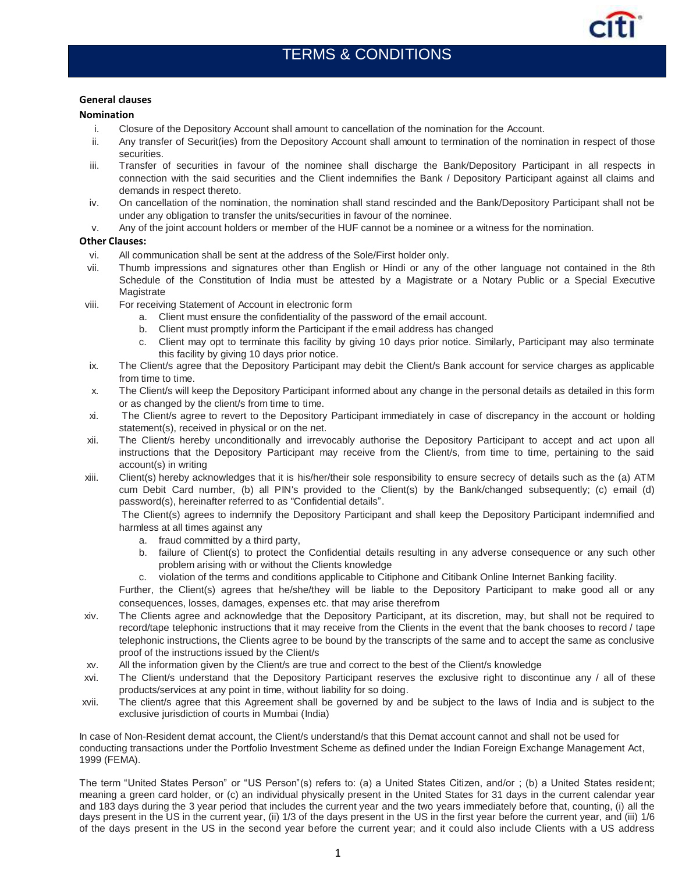

## **General clauses**

## **Nomination**

- i. Closure of the Depository Account shall amount to cancellation of the nomination for the Account.
- ii. Any transfer of Securit(ies) from the Depository Account shall amount to termination of the nomination in respect of those securities.
- iii. Transfer of securities in favour of the nominee shall discharge the Bank/Depository Participant in all respects in connection with the said securities and the Client indemnifies the Bank / Depository Participant against all claims and demands in respect thereto.
- iv. On cancellation of the nomination, the nomination shall stand rescinded and the Bank/Depository Participant shall not be under any obligation to transfer the units/securities in favour of the nominee.
- v. Any of the joint account holders or member of the HUF cannot be a nominee or a witness for the nomination.

## **Other Clauses:**

- vi. All communication shall be sent at the address of the Sole/First holder only.
- vii. Thumb impressions and signatures other than English or Hindi or any of the other language not contained in the 8th Schedule of the Constitution of India must be attested by a Magistrate or a Notary Public or a Special Executive Magistrate
- viii. For receiving Statement of Account in electronic form
	- a. Client must ensure the confidentiality of the password of the email account.
	- b. Client must promptly inform the Participant if the email address has changed
	- c. Client may opt to terminate this facility by giving 10 days prior notice. Similarly, Participant may also terminate this facility by giving 10 days prior notice.
- ix. The Client/s agree that the Depository Participant may debit the Client/s Bank account for service charges as applicable from time to time.
- x. The Client/s will keep the Depository Participant informed about any change in the personal details as detailed in this form or as changed by the client/s from time to time.
- xi. The Client/s agree to revert to the Depository Participant immediately in case of discrepancy in the account or holding statement(s), received in physical or on the net.
- xii. The Client/s hereby unconditionally and irrevocably authorise the Depository Participant to accept and act upon all instructions that the Depository Participant may receive from the Client/s, from time to time, pertaining to the said account(s) in writing
- xiii. Client(s) hereby acknowledges that it is his/her/their sole responsibility to ensure secrecy of details such as the (a) ATM cum Debit Card number, (b) all PIN's provided to the Client(s) by the Bank/changed subsequently; (c) email (d) password(s), hereinafter referred to as "Confidential details".

The Client(s) agrees to indemnify the Depository Participant and shall keep the Depository Participant indemnified and harmless at all times against any

- a. fraud committed by a third party,
- b. failure of Client(s) to protect the Confidential details resulting in any adverse consequence or any such other problem arising with or without the Clients knowledge
- c. violation of the terms and conditions applicable to Citiphone and Citibank Online Internet Banking facility.

Further, the Client(s) agrees that he/she/they will be liable to the Depository Participant to make good all or any consequences, losses, damages, expenses etc. that may arise therefrom

- xiv. The Clients agree and acknowledge that the Depository Participant, at its discretion, may, but shall not be required to record/tape telephonic instructions that it may receive from the Clients in the event that the bank chooses to record / tape telephonic instructions, the Clients agree to be bound by the transcripts of the same and to accept the same as conclusive proof of the instructions issued by the Client/s
- xv. All the information given by the Client/s are true and correct to the best of the Client/s knowledge
- xvi. The Client/s understand that the Depository Participant reserves the exclusive right to discontinue any / all of these products/services at any point in time, without liability for so doing.
- xvii. The client/s agree that this Agreement shall be governed by and be subject to the laws of India and is subject to the exclusive jurisdiction of courts in Mumbai (India)

In case of Non-Resident demat account, the Client/s understand/s that this Demat account cannot and shall not be used for conducting transactions under the Portfolio Investment Scheme as defined under the Indian Foreign Exchange Management Act, 1999 (FEMA).

The term "United States Person" or "US Person"(s) refers to: (a) a United States Citizen, and/or ; (b) a United States resident; meaning a green card holder, or (c) an individual physically present in the United States for 31 days in the current calendar year and 183 days during the 3 year period that includes the current year and the two years immediately before that, counting, (i) all the days present in the US in the current year, (ii) 1/3 of the days present in the US in the first year before the current year, and (iii) 1/6 of the days present in the US in the second year before the current year; and it could also include Clients with a US address